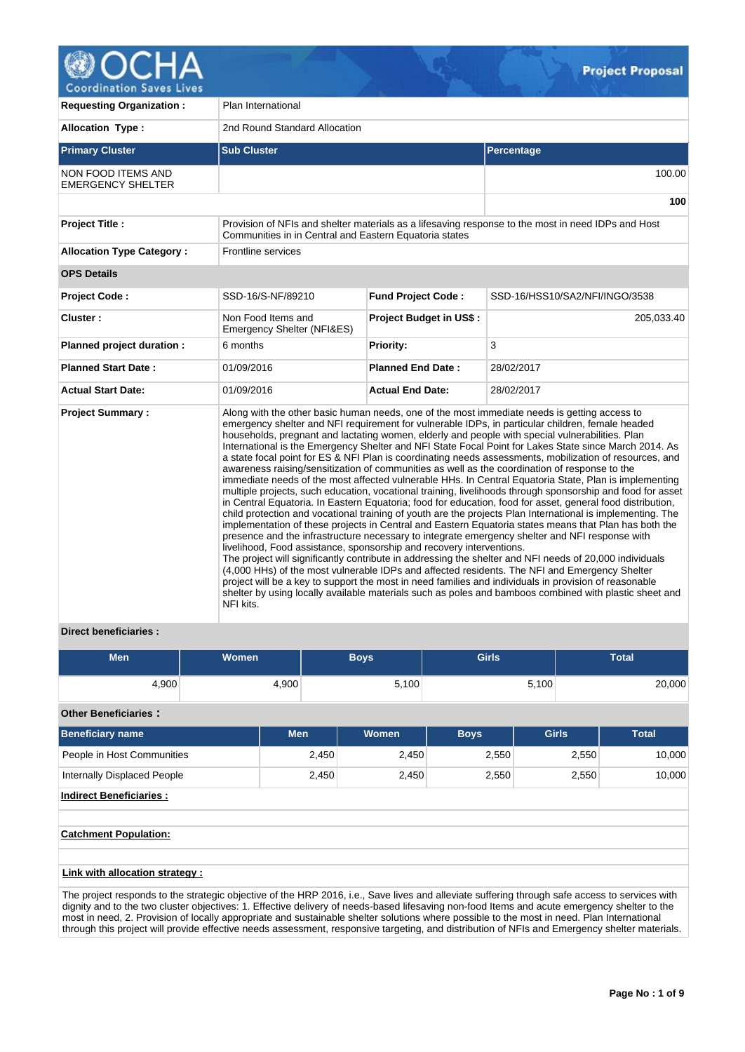

| <b>Requesting Organization:</b>                       | Plan International                                                                                                                                                                                                                                                                                                                                                                                                                                                                                                                                                                                                                                                                                                                                                                                                                                                                                                                                                                                                                                                                                                                                                                                                                                                                                                                                                                                                                                                                                                                                                                                                                                                                                                                                                                                         |                           |                                                                                                    |  |  |  |  |
|-------------------------------------------------------|------------------------------------------------------------------------------------------------------------------------------------------------------------------------------------------------------------------------------------------------------------------------------------------------------------------------------------------------------------------------------------------------------------------------------------------------------------------------------------------------------------------------------------------------------------------------------------------------------------------------------------------------------------------------------------------------------------------------------------------------------------------------------------------------------------------------------------------------------------------------------------------------------------------------------------------------------------------------------------------------------------------------------------------------------------------------------------------------------------------------------------------------------------------------------------------------------------------------------------------------------------------------------------------------------------------------------------------------------------------------------------------------------------------------------------------------------------------------------------------------------------------------------------------------------------------------------------------------------------------------------------------------------------------------------------------------------------------------------------------------------------------------------------------------------------|---------------------------|----------------------------------------------------------------------------------------------------|--|--|--|--|
| <b>Allocation Type:</b>                               | 2nd Round Standard Allocation                                                                                                                                                                                                                                                                                                                                                                                                                                                                                                                                                                                                                                                                                                                                                                                                                                                                                                                                                                                                                                                                                                                                                                                                                                                                                                                                                                                                                                                                                                                                                                                                                                                                                                                                                                              |                           |                                                                                                    |  |  |  |  |
| <b>Primary Cluster</b>                                | <b>Sub Cluster</b>                                                                                                                                                                                                                                                                                                                                                                                                                                                                                                                                                                                                                                                                                                                                                                                                                                                                                                                                                                                                                                                                                                                                                                                                                                                                                                                                                                                                                                                                                                                                                                                                                                                                                                                                                                                         |                           | Percentage                                                                                         |  |  |  |  |
| <b>NON FOOD ITEMS AND</b><br><b>EMERGENCY SHELTER</b> |                                                                                                                                                                                                                                                                                                                                                                                                                                                                                                                                                                                                                                                                                                                                                                                                                                                                                                                                                                                                                                                                                                                                                                                                                                                                                                                                                                                                                                                                                                                                                                                                                                                                                                                                                                                                            |                           | 100.00                                                                                             |  |  |  |  |
|                                                       |                                                                                                                                                                                                                                                                                                                                                                                                                                                                                                                                                                                                                                                                                                                                                                                                                                                                                                                                                                                                                                                                                                                                                                                                                                                                                                                                                                                                                                                                                                                                                                                                                                                                                                                                                                                                            |                           | 100                                                                                                |  |  |  |  |
| <b>Project Title:</b>                                 | Communities in in Central and Eastern Equatoria states                                                                                                                                                                                                                                                                                                                                                                                                                                                                                                                                                                                                                                                                                                                                                                                                                                                                                                                                                                                                                                                                                                                                                                                                                                                                                                                                                                                                                                                                                                                                                                                                                                                                                                                                                     |                           | Provision of NFIs and shelter materials as a lifesaving response to the most in need IDPs and Host |  |  |  |  |
| <b>Allocation Type Category:</b>                      | <b>Frontline services</b>                                                                                                                                                                                                                                                                                                                                                                                                                                                                                                                                                                                                                                                                                                                                                                                                                                                                                                                                                                                                                                                                                                                                                                                                                                                                                                                                                                                                                                                                                                                                                                                                                                                                                                                                                                                  |                           |                                                                                                    |  |  |  |  |
| <b>OPS Details</b>                                    |                                                                                                                                                                                                                                                                                                                                                                                                                                                                                                                                                                                                                                                                                                                                                                                                                                                                                                                                                                                                                                                                                                                                                                                                                                                                                                                                                                                                                                                                                                                                                                                                                                                                                                                                                                                                            |                           |                                                                                                    |  |  |  |  |
| <b>Project Code:</b>                                  | SSD-16/S-NF/89210                                                                                                                                                                                                                                                                                                                                                                                                                                                                                                                                                                                                                                                                                                                                                                                                                                                                                                                                                                                                                                                                                                                                                                                                                                                                                                                                                                                                                                                                                                                                                                                                                                                                                                                                                                                          | <b>Fund Project Code:</b> | SSD-16/HSS10/SA2/NFI/INGO/3538                                                                     |  |  |  |  |
| Cluster:                                              | Non Food Items and<br>Emergency Shelter (NFI&ES)                                                                                                                                                                                                                                                                                                                                                                                                                                                                                                                                                                                                                                                                                                                                                                                                                                                                                                                                                                                                                                                                                                                                                                                                                                                                                                                                                                                                                                                                                                                                                                                                                                                                                                                                                           | Project Budget in US\$:   | 205,033.40                                                                                         |  |  |  |  |
| Planned project duration :                            | 6 months                                                                                                                                                                                                                                                                                                                                                                                                                                                                                                                                                                                                                                                                                                                                                                                                                                                                                                                                                                                                                                                                                                                                                                                                                                                                                                                                                                                                                                                                                                                                                                                                                                                                                                                                                                                                   | Priority:                 | 3                                                                                                  |  |  |  |  |
| <b>Planned Start Date:</b>                            | 01/09/2016                                                                                                                                                                                                                                                                                                                                                                                                                                                                                                                                                                                                                                                                                                                                                                                                                                                                                                                                                                                                                                                                                                                                                                                                                                                                                                                                                                                                                                                                                                                                                                                                                                                                                                                                                                                                 | <b>Planned End Date:</b>  | 28/02/2017                                                                                         |  |  |  |  |
| <b>Actual Start Date:</b>                             | 01/09/2016                                                                                                                                                                                                                                                                                                                                                                                                                                                                                                                                                                                                                                                                                                                                                                                                                                                                                                                                                                                                                                                                                                                                                                                                                                                                                                                                                                                                                                                                                                                                                                                                                                                                                                                                                                                                 | <b>Actual End Date:</b>   | 28/02/2017                                                                                         |  |  |  |  |
| <b>Project Summary:</b>                               | Along with the other basic human needs, one of the most immediate needs is getting access to<br>emergency shelter and NFI requirement for vulnerable IDPs, in particular children, female headed<br>households, pregnant and lactating women, elderly and people with special vulnerabilities. Plan<br>International is the Emergency Shelter and NFI State Focal Point for Lakes State since March 2014. As<br>a state focal point for ES & NFI Plan is coordinating needs assessments, mobilization of resources, and<br>awareness raising/sensitization of communities as well as the coordination of response to the<br>immediate needs of the most affected vulnerable HHs. In Central Equatoria State, Plan is implementing<br>multiple projects, such education, vocational training, livelihoods through sponsorship and food for asset<br>in Central Equatoria. In Eastern Equatoria; food for education, food for asset, general food distribution,<br>child protection and vocational training of youth are the projects Plan International is implementing. The<br>implementation of these projects in Central and Eastern Equatoria states means that Plan has both the<br>presence and the infrastructure necessary to integrate emergency shelter and NFI response with<br>livelihood, Food assistance, sponsorship and recovery interventions.<br>The project will significantly contribute in addressing the shelter and NFI needs of 20,000 individuals<br>(4,000 HHs) of the most vulnerable IDPs and affected residents. The NFI and Emergency Shelter<br>project will be a key to support the most in need families and individuals in provision of reasonable<br>shelter by using locally available materials such as poles and bamboos combined with plastic sheet and<br>NFI kits. |                           |                                                                                                    |  |  |  |  |

# **Direct beneficiaries :**

| Men   | <b>Women</b> | <b>Boys</b> | <b>Girls</b> | Total  |  |
|-------|--------------|-------------|--------------|--------|--|
| 4,900 | 4,900        | 5,100       | 5,100        | 20,000 |  |

# **Other Beneficiaries :**

| <b>Beneficiary name</b>        | <b>Men</b> | <b>Women</b> | <b>Boys</b> | <b>Girls</b> | <b>Total</b> |  |  |  |
|--------------------------------|------------|--------------|-------------|--------------|--------------|--|--|--|
| People in Host Communities     | 2,450      | 2,450        | 2,550       | 2,550        | 10,000       |  |  |  |
| Internally Displaced People    | 2,450      | 2,450        | 2,550       | 2,550        | 10,000       |  |  |  |
| <b>Indirect Beneficiaries:</b> |            |              |             |              |              |  |  |  |
|                                |            |              |             |              |              |  |  |  |
| <b>Catchment Population:</b>   |            |              |             |              |              |  |  |  |
|                                |            |              |             |              |              |  |  |  |
| Link with allocation strategy: |            |              |             |              |              |  |  |  |

The project responds to the strategic objective of the HRP 2016, i.e., Save lives and alleviate suffering through safe access to services with dignity and to the two cluster objectives: 1. Effective delivery of needs-based lifesaving non-food Items and acute emergency shelter to the most in need, 2. Provision of locally appropriate and sustainable shelter solutions where possible to the most in need. Plan International through this project will provide effective needs assessment, responsive targeting, and distribution of NFIs and Emergency shelter materials.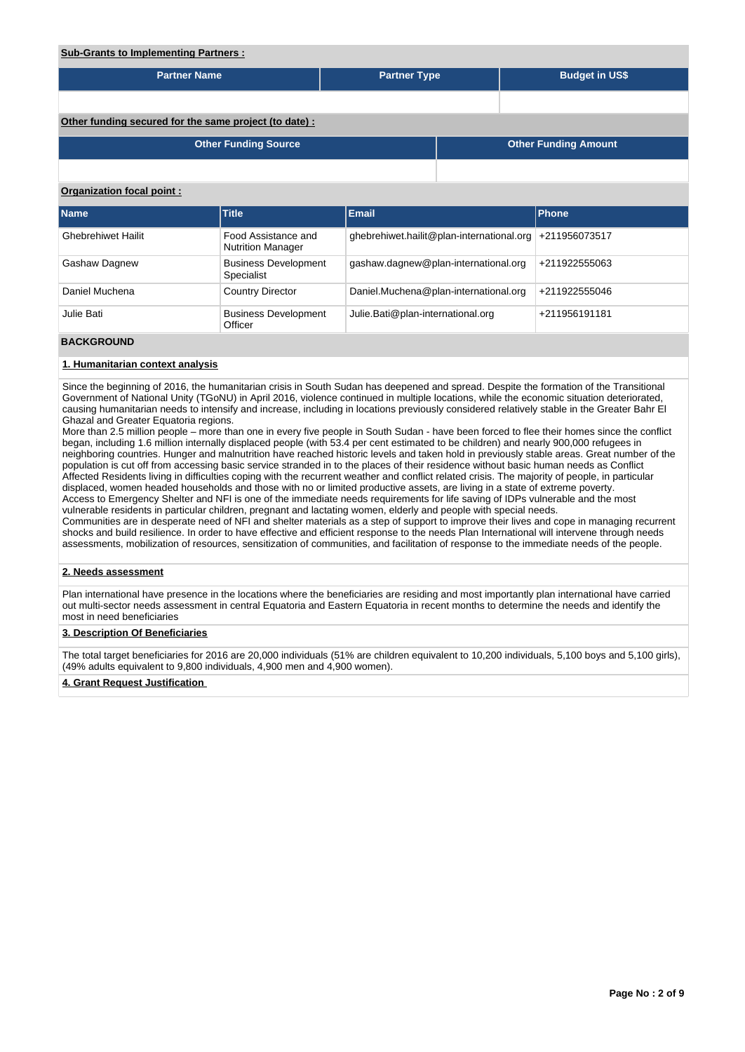# **Sub-Grants to Implementing Partners : Partner Name Partner Type Partner Type Budget in US\$ Other funding secured for the same project (to date) : Other Funding Source Other Funding Amount Organization focal point : Name Title Email Phone** Ghebrehiwet Hailit Food Assistance and Nutrition Manager ghebrehiwet.hailit@plan-international.org +211956073517 Gashaw Dagnew Business Development Specialist gashaw.dagnew@plan-international.org +211922555063 Daniel Muchena Country Director Daniel.Muchena@plan-international.org +211922555046 Julie Bati **Business Development Officer** Julie.Bati@plan-international.org +211956191181 **BACKGROUND**

# **1. Humanitarian context analysis**

Since the beginning of 2016, the humanitarian crisis in South Sudan has deepened and spread. Despite the formation of the Transitional Government of National Unity (TGoNU) in April 2016, violence continued in multiple locations, while the economic situation deteriorated, causing humanitarian needs to intensify and increase, including in locations previously considered relatively stable in the Greater Bahr El Ghazal and Greater Equatoria regions.

More than 2.5 million people – more than one in every five people in South Sudan - have been forced to flee their homes since the conflict began, including 1.6 million internally displaced people (with 53.4 per cent estimated to be children) and nearly 900,000 refugees in neighboring countries. Hunger and malnutrition have reached historic levels and taken hold in previously stable areas. Great number of the population is cut off from accessing basic service stranded in to the places of their residence without basic human needs as Conflict Affected Residents living in difficulties coping with the recurrent weather and conflict related crisis. The majority of people, in particular displaced, women headed households and those with no or limited productive assets, are living in a state of extreme poverty. Access to Emergency Shelter and NFI is one of the immediate needs requirements for life saving of IDPs vulnerable and the most vulnerable residents in particular children, pregnant and lactating women, elderly and people with special needs. Communities are in desperate need of NFI and shelter materials as a step of support to improve their lives and cope in managing recurrent shocks and build resilience. In order to have effective and efficient response to the needs Plan International will intervene through needs assessments, mobilization of resources, sensitization of communities, and facilitation of response to the immediate needs of the people.

# **2. Needs assessment**

Plan international have presence in the locations where the beneficiaries are residing and most importantly plan international have carried out multi-sector needs assessment in central Equatoria and Eastern Equatoria in recent months to determine the needs and identify the most in need beneficiaries

# **3. Description Of Beneficiaries**

The total target beneficiaries for 2016 are 20,000 individuals (51% are children equivalent to 10,200 individuals, 5,100 boys and 5,100 girls), (49% adults equivalent to 9,800 individuals, 4,900 men and 4,900 women).

### **4. Grant Request Justification**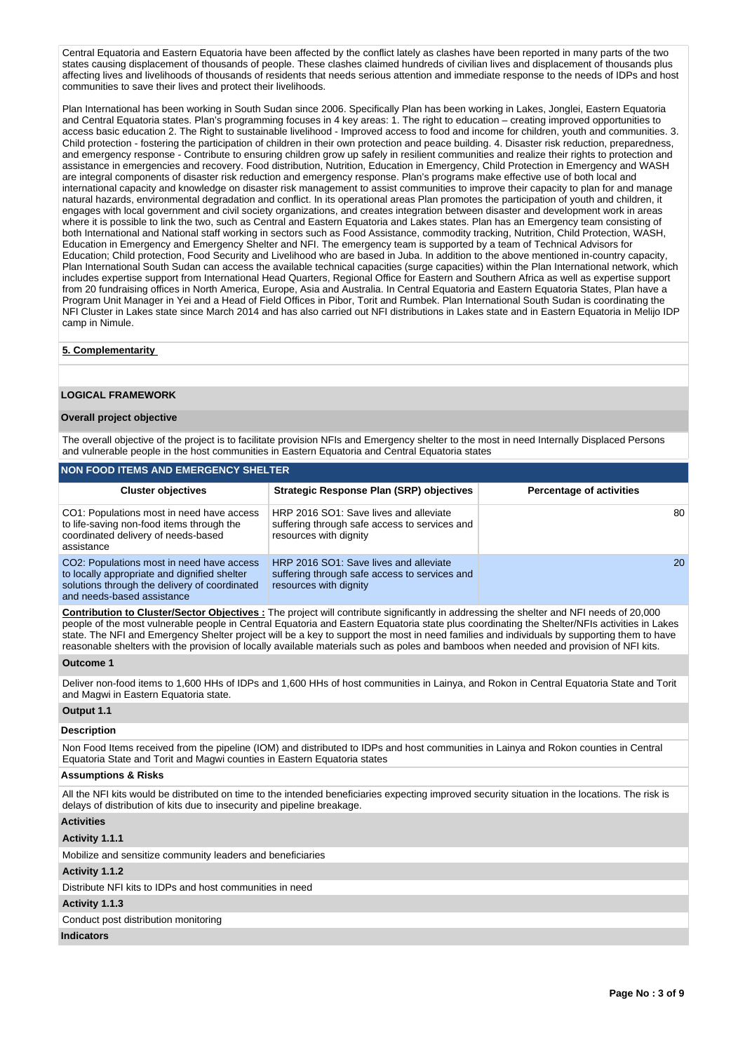Central Equatoria and Eastern Equatoria have been affected by the conflict lately as clashes have been reported in many parts of the two states causing displacement of thousands of people. These clashes claimed hundreds of civilian lives and displacement of thousands plus affecting lives and livelihoods of thousands of residents that needs serious attention and immediate response to the needs of IDPs and host communities to save their lives and protect their livelihoods.

Plan International has been working in South Sudan since 2006. Specifically Plan has been working in Lakes, Jonglei, Eastern Equatoria and Central Equatoria states. Plan's programming focuses in 4 key areas: 1. The right to education – creating improved opportunities to access basic education 2. The Right to sustainable livelihood - Improved access to food and income for children, youth and communities. 3. Child protection - fostering the participation of children in their own protection and peace building. 4. Disaster risk reduction, preparedness, and emergency response - Contribute to ensuring children grow up safely in resilient communities and realize their rights to protection and assistance in emergencies and recovery. Food distribution, Nutrition, Education in Emergency, Child Protection in Emergency and WASH are integral components of disaster risk reduction and emergency response. Plan's programs make effective use of both local and international capacity and knowledge on disaster risk management to assist communities to improve their capacity to plan for and manage natural hazards, environmental degradation and conflict. In its operational areas Plan promotes the participation of youth and children, it engages with local government and civil society organizations, and creates integration between disaster and development work in areas where it is possible to link the two, such as Central and Eastern Equatoria and Lakes states. Plan has an Emergency team consisting of both International and National staff working in sectors such as Food Assistance, commodity tracking, Nutrition, Child Protection, WASH, Education in Emergency and Emergency Shelter and NFI. The emergency team is supported by a team of Technical Advisors for Education; Child protection, Food Security and Livelihood who are based in Juba. In addition to the above mentioned in-country capacity, Plan International South Sudan can access the available technical capacities (surge capacities) within the Plan International network, which includes expertise support from International Head Quarters, Regional Office for Eastern and Southern Africa as well as expertise support from 20 fundraising offices in North America, Europe, Asia and Australia. In Central Equatoria and Eastern Equatoria States, Plan have a Program Unit Manager in Yei and a Head of Field Offices in Pibor, Torit and Rumbek. Plan International South Sudan is coordinating the NFI Cluster in Lakes state since March 2014 and has also carried out NFI distributions in Lakes state and in Eastern Equatoria in Melijo IDP camp in Nimule.

### **5. Complementarity**

#### **LOGICAL FRAMEWORK**

# **Overall project objective**

The overall objective of the project is to facilitate provision NFIs and Emergency shelter to the most in need Internally Displaced Persons and vulnerable people in the host communities in Eastern Equatoria and Central Equatoria states

| <b>NON FOOD ITEMS AND EMERGENCY SHELTER</b>                                                                                                                              |                                                                                                                   |                                 |  |  |  |  |
|--------------------------------------------------------------------------------------------------------------------------------------------------------------------------|-------------------------------------------------------------------------------------------------------------------|---------------------------------|--|--|--|--|
| <b>Cluster objectives</b>                                                                                                                                                | <b>Strategic Response Plan (SRP) objectives</b>                                                                   | <b>Percentage of activities</b> |  |  |  |  |
| CO1: Populations most in need have access<br>to life-saving non-food items through the<br>coordinated delivery of needs-based<br>assistance                              | HRP 2016 SO1: Save lives and alleviate<br>suffering through safe access to services and<br>resources with dignity | 80                              |  |  |  |  |
| CO2: Populations most in need have access<br>to locally appropriate and dignified shelter<br>solutions through the delivery of coordinated<br>and needs-based assistance | HRP 2016 SO1: Save lives and alleviate<br>suffering through safe access to services and<br>resources with dignity | <b>20</b>                       |  |  |  |  |

**Contribution to Cluster/Sector Objectives :** The project will contribute significantly in addressing the shelter and NFI needs of 20,000 people of the most vulnerable people in Central Equatoria and Eastern Equatoria state plus coordinating the Shelter/NFIs activities in Lakes state. The NFI and Emergency Shelter project will be a key to support the most in need families and individuals by supporting them to have reasonable shelters with the provision of locally available materials such as poles and bamboos when needed and provision of NFI kits.

#### **Outcome 1**

Deliver non-food items to 1,600 HHs of IDPs and 1,600 HHs of host communities in Lainya, and Rokon in Central Equatoria State and Torit and Magwi in Eastern Equatoria state.

## **Output 1.1**

#### **Description**

Non Food Items received from the pipeline (IOM) and distributed to IDPs and host communities in Lainya and Rokon counties in Central Equatoria State and Torit and Magwi counties in Eastern Equatoria states

#### **Assumptions & Risks**

All the NFI kits would be distributed on time to the intended beneficiaries expecting improved security situation in the locations. The risk is delays of distribution of kits due to insecurity and pipeline breakage.

#### **Activities**

# **Activity 1.1.1**

Mobilize and sensitize community leaders and beneficiaries

#### **Activity 1.1.2**

Distribute NFI kits to IDPs and host communities in need

#### **Activity 1.1.3**

Conduct post distribution monitoring

# **Indicators**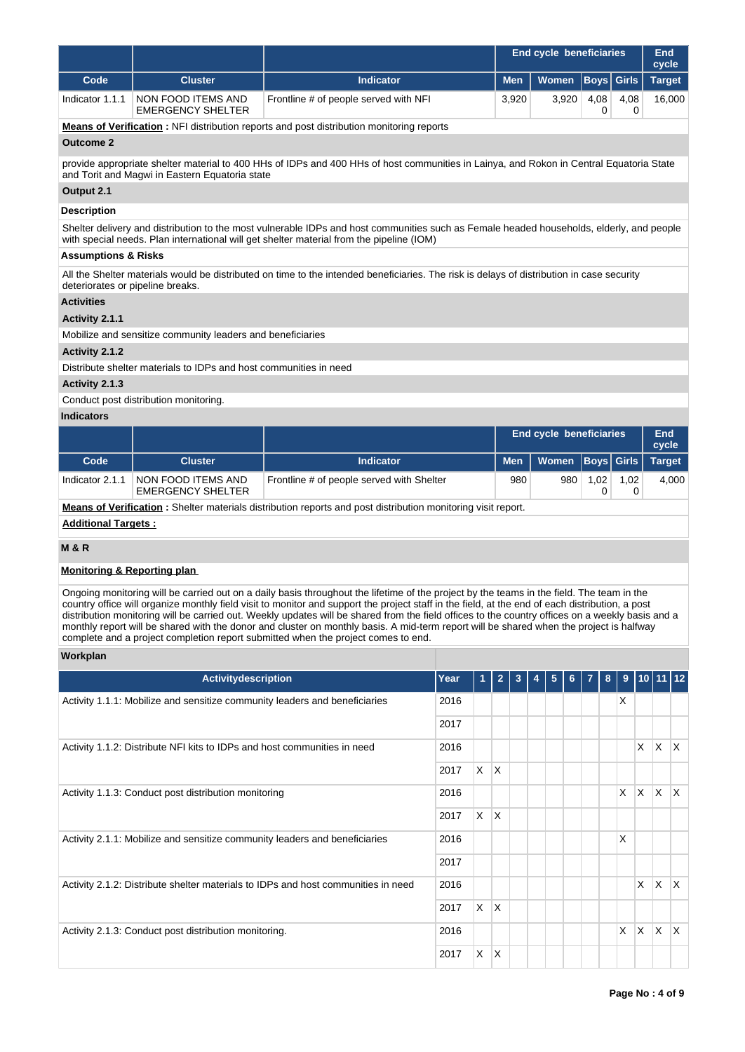|                                                                                    |                                                                            |                                                                                                                                                                                                                                                                                                                                                                                                                                                                                                                                                                                                                                                                                  |           |              | cycle                          |             |              |                              |               |  |
|------------------------------------------------------------------------------------|----------------------------------------------------------------------------|----------------------------------------------------------------------------------------------------------------------------------------------------------------------------------------------------------------------------------------------------------------------------------------------------------------------------------------------------------------------------------------------------------------------------------------------------------------------------------------------------------------------------------------------------------------------------------------------------------------------------------------------------------------------------------|-----------|--------------|--------------------------------|-------------|--------------|------------------------------|---------------|--|
| Code                                                                               | <b>Cluster</b>                                                             | <b>Indicator</b>                                                                                                                                                                                                                                                                                                                                                                                                                                                                                                                                                                                                                                                                 |           | <b>Men</b>   | <b>Women</b>                   | <b>Boys</b> | <b>Girls</b> |                              | <b>Target</b> |  |
| Indicator 1.1.1                                                                    | NON FOOD ITEMS AND<br><b>EMERGENCY SHELTER</b>                             | Frontline # of people served with NFI                                                                                                                                                                                                                                                                                                                                                                                                                                                                                                                                                                                                                                            |           | 3,920        | 3,920                          | 4,08<br>0   | 4,08<br>0    |                              | 16,000        |  |
|                                                                                    |                                                                            | <b>Means of Verification:</b> NFI distribution reports and post distribution monitoring reports                                                                                                                                                                                                                                                                                                                                                                                                                                                                                                                                                                                  |           |              |                                |             |              |                              |               |  |
| <b>Outcome 2</b>                                                                   |                                                                            |                                                                                                                                                                                                                                                                                                                                                                                                                                                                                                                                                                                                                                                                                  |           |              |                                |             |              |                              |               |  |
|                                                                                    | and Torit and Magwi in Eastern Equatoria state                             | provide appropriate shelter material to 400 HHs of IDPs and 400 HHs of host communities in Lainya, and Rokon in Central Equatoria State                                                                                                                                                                                                                                                                                                                                                                                                                                                                                                                                          |           |              |                                |             |              |                              |               |  |
| Output 2.1                                                                         |                                                                            |                                                                                                                                                                                                                                                                                                                                                                                                                                                                                                                                                                                                                                                                                  |           |              |                                |             |              |                              |               |  |
| <b>Description</b>                                                                 |                                                                            |                                                                                                                                                                                                                                                                                                                                                                                                                                                                                                                                                                                                                                                                                  |           |              |                                |             |              |                              |               |  |
|                                                                                    |                                                                            | Shelter delivery and distribution to the most vulnerable IDPs and host communities such as Female headed households, elderly, and people<br>with special needs. Plan international will get shelter material from the pipeline (IOM)                                                                                                                                                                                                                                                                                                                                                                                                                                             |           |              |                                |             |              |                              |               |  |
| <b>Assumptions &amp; Risks</b>                                                     |                                                                            |                                                                                                                                                                                                                                                                                                                                                                                                                                                                                                                                                                                                                                                                                  |           |              |                                |             |              |                              |               |  |
| deteriorates or pipeline breaks.                                                   |                                                                            | All the Shelter materials would be distributed on time to the intended beneficiaries. The risk is delays of distribution in case security                                                                                                                                                                                                                                                                                                                                                                                                                                                                                                                                        |           |              |                                |             |              |                              |               |  |
| <b>Activities</b>                                                                  |                                                                            |                                                                                                                                                                                                                                                                                                                                                                                                                                                                                                                                                                                                                                                                                  |           |              |                                |             |              |                              |               |  |
| Activity 2.1.1                                                                     |                                                                            |                                                                                                                                                                                                                                                                                                                                                                                                                                                                                                                                                                                                                                                                                  |           |              |                                |             |              |                              |               |  |
|                                                                                    | Mobilize and sensitize community leaders and beneficiaries                 |                                                                                                                                                                                                                                                                                                                                                                                                                                                                                                                                                                                                                                                                                  |           |              |                                |             |              |                              |               |  |
| Activity 2.1.2                                                                     |                                                                            |                                                                                                                                                                                                                                                                                                                                                                                                                                                                                                                                                                                                                                                                                  |           |              |                                |             |              |                              |               |  |
|                                                                                    | Distribute shelter materials to IDPs and host communities in need          |                                                                                                                                                                                                                                                                                                                                                                                                                                                                                                                                                                                                                                                                                  |           |              |                                |             |              |                              |               |  |
| Activity 2.1.3                                                                     |                                                                            |                                                                                                                                                                                                                                                                                                                                                                                                                                                                                                                                                                                                                                                                                  |           |              |                                |             |              |                              |               |  |
|                                                                                    | Conduct post distribution monitoring.                                      |                                                                                                                                                                                                                                                                                                                                                                                                                                                                                                                                                                                                                                                                                  |           |              |                                |             |              |                              |               |  |
| <b>Indicators</b>                                                                  |                                                                            |                                                                                                                                                                                                                                                                                                                                                                                                                                                                                                                                                                                                                                                                                  |           |              |                                |             |              |                              |               |  |
|                                                                                    |                                                                            |                                                                                                                                                                                                                                                                                                                                                                                                                                                                                                                                                                                                                                                                                  |           |              | <b>End cycle beneficiaries</b> |             |              | <b>End</b><br>cycle          |               |  |
| Code                                                                               | <b>Cluster</b>                                                             | <b>Indicator</b>                                                                                                                                                                                                                                                                                                                                                                                                                                                                                                                                                                                                                                                                 |           | <b>Men</b>   | Women                          | <b>Boys</b> | <b>Girls</b> |                              | <b>Target</b> |  |
| Indicator 2.1.1                                                                    | NON FOOD ITEMS AND<br><b>EMERGENCY SHELTER</b>                             | Frontline # of people served with Shelter                                                                                                                                                                                                                                                                                                                                                                                                                                                                                                                                                                                                                                        |           | 980          | 980                            | 1,02<br>0   | 1,02<br>0    |                              | 4,000         |  |
|                                                                                    |                                                                            | <b>Means of Verification</b> : Shelter materials distribution reports and post distribution monitoring visit report.                                                                                                                                                                                                                                                                                                                                                                                                                                                                                                                                                             |           |              |                                |             |              |                              |               |  |
| <b>Additional Targets:</b>                                                         |                                                                            |                                                                                                                                                                                                                                                                                                                                                                                                                                                                                                                                                                                                                                                                                  |           |              |                                |             |              |                              |               |  |
| <b>M&amp;R</b>                                                                     |                                                                            |                                                                                                                                                                                                                                                                                                                                                                                                                                                                                                                                                                                                                                                                                  |           |              |                                |             |              |                              |               |  |
| <b>Monitoring &amp; Reporting plan</b>                                             |                                                                            |                                                                                                                                                                                                                                                                                                                                                                                                                                                                                                                                                                                                                                                                                  |           |              |                                |             |              |                              |               |  |
|                                                                                    |                                                                            | Ongoing monitoring will be carried out on a daily basis throughout the lifetime of the project by the teams in the field. The team in the<br>country office will organize monthly field visit to monitor and support the project staff in the field, at the end of each distribution, a post<br>distribution monitoring will be carried out. Weekly updates will be shared from the field offices to the country offices on a weekly basis and a<br>monthly report will be shared with the donor and cluster on monthly basis. A mid-term report will be shared when the project is halfway<br>complete and a project completion report submitted when the project comes to end. |           |              |                                |             |              |                              |               |  |
| Workplan                                                                           |                                                                            |                                                                                                                                                                                                                                                                                                                                                                                                                                                                                                                                                                                                                                                                                  |           |              |                                |             |              |                              |               |  |
|                                                                                    | Activitydescription                                                        |                                                                                                                                                                                                                                                                                                                                                                                                                                                                                                                                                                                                                                                                                  | Year      | 2<br>3       | 5<br>6<br>4                    | 8           | 9            | $10$ 11 $12$                 |               |  |
|                                                                                    | Activity 1.1.1: Mobilize and sensitize community leaders and beneficiaries |                                                                                                                                                                                                                                                                                                                                                                                                                                                                                                                                                                                                                                                                                  | 2016      |              |                                |             | X            |                              |               |  |
|                                                                                    |                                                                            |                                                                                                                                                                                                                                                                                                                                                                                                                                                                                                                                                                                                                                                                                  | 2017      |              |                                |             |              |                              |               |  |
|                                                                                    | Activity 1.1.2: Distribute NFI kits to IDPs and host communities in need   |                                                                                                                                                                                                                                                                                                                                                                                                                                                                                                                                                                                                                                                                                  | 2016      |              |                                |             |              | X<br>X                       | $\mathsf{X}$  |  |
|                                                                                    | X.<br>2017                                                                 | ΙX.                                                                                                                                                                                                                                                                                                                                                                                                                                                                                                                                                                                                                                                                              |           |              |                                |             |              |                              |               |  |
| Activity 1.1.3: Conduct post distribution monitoring                               |                                                                            |                                                                                                                                                                                                                                                                                                                                                                                                                                                                                                                                                                                                                                                                                  |           | X.           | X.<br>$\mathsf{X}$             | X           |              |                              |               |  |
|                                                                                    | $X$ $X$                                                                    |                                                                                                                                                                                                                                                                                                                                                                                                                                                                                                                                                                                                                                                                                  |           |              |                                |             |              |                              |               |  |
| Activity 2.1.1: Mobilize and sensitize community leaders and beneficiaries<br>2016 |                                                                            |                                                                                                                                                                                                                                                                                                                                                                                                                                                                                                                                                                                                                                                                                  |           |              |                                |             | х            |                              |               |  |
|                                                                                    |                                                                            |                                                                                                                                                                                                                                                                                                                                                                                                                                                                                                                                                                                                                                                                                  | 2017      |              |                                |             |              |                              |               |  |
| Activity 2.1.2: Distribute shelter materials to IDPs and host communities in need  | 2016                                                                       |                                                                                                                                                                                                                                                                                                                                                                                                                                                                                                                                                                                                                                                                                  |           |              |                                | X<br>X      | X            |                              |               |  |
|                                                                                    |                                                                            |                                                                                                                                                                                                                                                                                                                                                                                                                                                                                                                                                                                                                                                                                  | X<br>2017 | ΙX.          |                                |             |              |                              |               |  |
|                                                                                    |                                                                            |                                                                                                                                                                                                                                                                                                                                                                                                                                                                                                                                                                                                                                                                                  |           |              |                                |             |              |                              |               |  |
|                                                                                    | Activity 2.1.3: Conduct post distribution monitoring.                      |                                                                                                                                                                                                                                                                                                                                                                                                                                                                                                                                                                                                                                                                                  | 2016      |              |                                |             | X.           | $\mathsf{X}$<br>$\mathsf{X}$ | $\mathsf{X}$  |  |
|                                                                                    |                                                                            |                                                                                                                                                                                                                                                                                                                                                                                                                                                                                                                                                                                                                                                                                  | X<br>2017 | $\mathsf{X}$ |                                |             |              |                              |               |  |

ा

**End cycle beneficiaries End**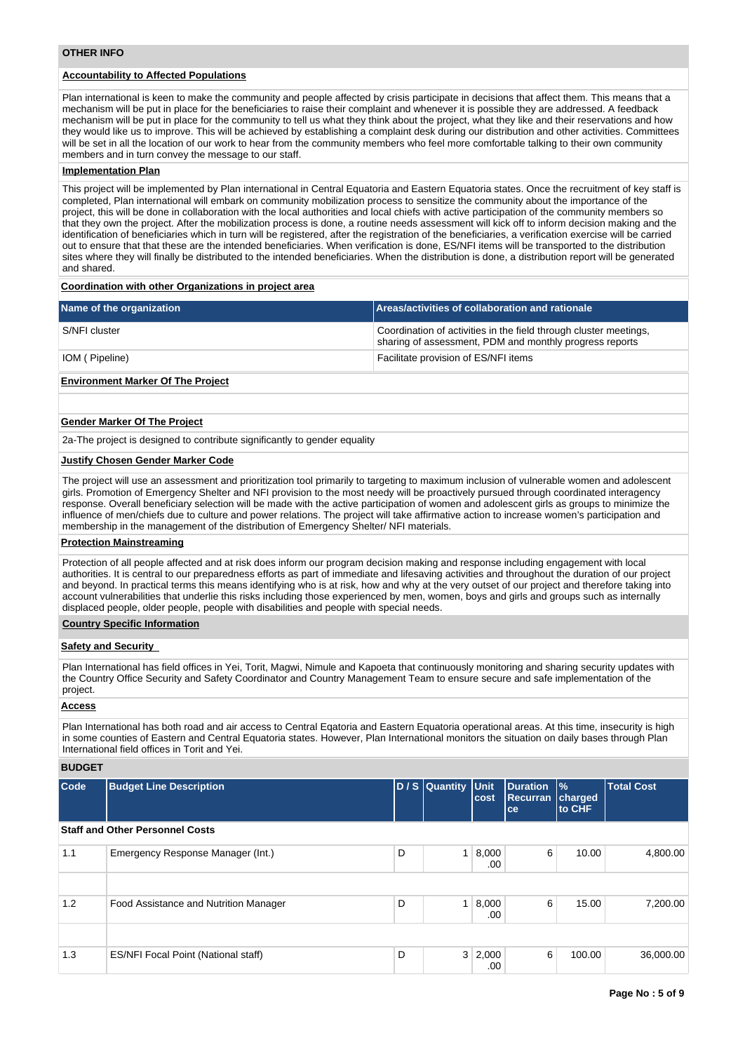# **Accountability to Affected Populations**

Plan international is keen to make the community and people affected by crisis participate in decisions that affect them. This means that a mechanism will be put in place for the beneficiaries to raise their complaint and whenever it is possible they are addressed. A feedback mechanism will be put in place for the community to tell us what they think about the project, what they like and their reservations and how they would like us to improve. This will be achieved by establishing a complaint desk during our distribution and other activities. Committees will be set in all the location of our work to hear from the community members who feel more comfortable talking to their own community members and in turn convey the message to our staff.

#### **Implementation Plan**

This project will be implemented by Plan international in Central Equatoria and Eastern Equatoria states. Once the recruitment of key staff is completed, Plan international will embark on community mobilization process to sensitize the community about the importance of the project, this will be done in collaboration with the local authorities and local chiefs with active participation of the community members so that they own the project. After the mobilization process is done, a routine needs assessment will kick off to inform decision making and the identification of beneficiaries which in turn will be registered, after the registration of the beneficiaries, a verification exercise will be carried out to ensure that that these are the intended beneficiaries. When verification is done, ES/NFI items will be transported to the distribution sites where they will finally be distributed to the intended beneficiaries. When the distribution is done, a distribution report will be generated and shared.

#### **Coordination with other Organizations in project area**

| Name of the organization | Areas/activities of collaboration and rationale                                                                              |
|--------------------------|------------------------------------------------------------------------------------------------------------------------------|
| S/NFI cluster            | Coordination of activities in the field through cluster meetings,<br>sharing of assessment, PDM and monthly progress reports |
| IOM (Pipeline)           | Facilitate provision of ES/NFI items                                                                                         |

## **Environment Marker Of The Project**

#### **Gender Marker Of The Project**

2a-The project is designed to contribute significantly to gender equality

#### **Justify Chosen Gender Marker Code**

The project will use an assessment and prioritization tool primarily to targeting to maximum inclusion of vulnerable women and adolescent girls. Promotion of Emergency Shelter and NFI provision to the most needy will be proactively pursued through coordinated interagency response. Overall beneficiary selection will be made with the active participation of women and adolescent girls as groups to minimize the influence of men/chiefs due to culture and power relations. The project will take affirmative action to increase women's participation and membership in the management of the distribution of Emergency Shelter/ NFI materials.

# **Protection Mainstreaming**

Protection of all people affected and at risk does inform our program decision making and response including engagement with local authorities. It is central to our preparedness efforts as part of immediate and lifesaving activities and throughout the duration of our project and beyond. In practical terms this means identifying who is at risk, how and why at the very outset of our project and therefore taking into account vulnerabilities that underlie this risks including those experienced by men, women, boys and girls and groups such as internally displaced people, older people, people with disabilities and people with special needs.

### **Country Specific Information**

#### **Safety and Security**

Plan International has field offices in Yei, Torit, Magwi, Nimule and Kapoeta that continuously monitoring and sharing security updates with the Country Office Security and Safety Coordinator and Country Management Team to ensure secure and safe implementation of the project.

## **Access**

Plan International has both road and air access to Central Eqatoria and Eastern Equatoria operational areas. At this time, insecurity is high in some counties of Eastern and Central Equatoria states. However, Plan International monitors the situation on daily bases through Plan International field offices in Torit and Yei.

#### **BUDGET**

| Code | <b>Budget Line Description</b>             |   | D / S Quantity Unit | cost                  | Duration<br>Recurran charged<br>ce | $\frac{9}{6}$<br>to CHF | <b>Total Cost</b> |
|------|--------------------------------------------|---|---------------------|-----------------------|------------------------------------|-------------------------|-------------------|
|      | <b>Staff and Other Personnel Costs</b>     |   |                     |                       |                                    |                         |                   |
| 1.1  | Emergency Response Manager (Int.)          | D | 1 <sup>1</sup>      | 8,000<br>.00          | 6                                  | 10.00                   | 4,800.00          |
|      |                                            |   |                     |                       |                                    |                         |                   |
| 1.2  | Food Assistance and Nutrition Manager      | D |                     | 1   8,000<br>.00      | 6                                  | 15.00                   | 7,200.00          |
|      |                                            |   |                     |                       |                                    |                         |                   |
| 1.3  | <b>ES/NFI Focal Point (National staff)</b> | D |                     | $3 \mid 2,000$<br>.00 | 6                                  | 100.00                  | 36,000.00         |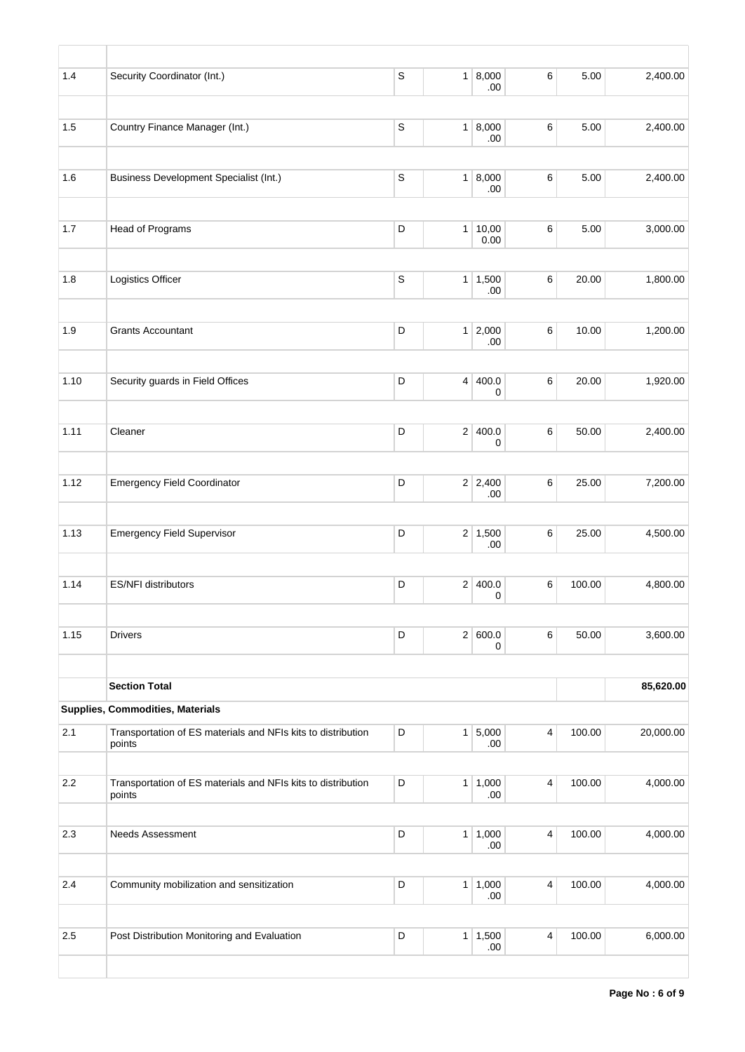| 1.4  | Security Coordinator (Int.)                                            | $\mathsf S$ |                | 1   8,000<br>.00      | 6     | 5.00   | 2,400.00  |
|------|------------------------------------------------------------------------|-------------|----------------|-----------------------|-------|--------|-----------|
|      |                                                                        |             |                |                       |       |        |           |
| 1.5  | Country Finance Manager (Int.)                                         | $\mathbb S$ |                | 1   8,000<br>.00      | 6     | 5.00   | 2,400.00  |
| 1.6  | Business Development Specialist (Int.)                                 | $\mathsf S$ |                | 1   8,000<br>.00      | 6     | 5.00   | 2,400.00  |
|      |                                                                        |             |                |                       |       |        |           |
| 1.7  | Head of Programs                                                       | D           |                | 1 10,00<br>0.00       | $\,6$ | 5.00   | 3,000.00  |
|      |                                                                        |             |                |                       |       |        |           |
| 1.8  | Logistics Officer                                                      | $\mathsf S$ |                | 1 1,500<br>.00        | 6     | 20.00  | 1,800.00  |
|      |                                                                        |             |                |                       |       |        |           |
| 1.9  | <b>Grants Accountant</b>                                               | D           |                | $1 \ 2,000$<br>.00    | 6     | 10.00  | 1,200.00  |
| 1.10 | Security guards in Field Offices                                       | D           |                | 4 400.0<br>0          | 6     | 20.00  | 1,920.00  |
|      |                                                                        |             |                |                       |       |        |           |
| 1.11 | Cleaner                                                                | D           |                | 2 400.0<br>0          | 6     | 50.00  | 2,400.00  |
|      |                                                                        |             |                |                       |       |        |           |
| 1.12 | <b>Emergency Field Coordinator</b>                                     | D           |                | $2 \mid 2,400$<br>.00 | $\,6$ | 25.00  | 7,200.00  |
|      |                                                                        |             |                |                       |       |        |           |
| 1.13 | <b>Emergency Field Supervisor</b>                                      | D           |                | $2 \mid 1,500$<br>.00 | 6     | 25.00  | 4,500.00  |
| 1.14 | <b>ES/NFI distributors</b>                                             | D           |                | 2 400.0               | 6     | 100.00 | 4,800.00  |
|      |                                                                        |             |                | 0                     |       |        |           |
| 1.15 | <b>Drivers</b>                                                         | D           |                | 2   600.0<br>0        | 6     | 50.00  | 3,600.00  |
|      | <b>Section Total</b>                                                   |             |                |                       |       |        | 85,620.00 |
|      | Supplies, Commodities, Materials                                       |             |                |                       |       |        |           |
|      |                                                                        |             |                |                       |       |        |           |
| 2.1  | Transportation of ES materials and NFIs kits to distribution<br>points | D           |                | 1 5,000<br>.00        | 4     | 100.00 | 20,000.00 |
| 2.2  | Transportation of ES materials and NFIs kits to distribution           | D           |                | 1 1,000               | 4     | 100.00 | 4,000.00  |
|      | points                                                                 |             |                | .00                   |       |        |           |
| 2.3  | <b>Needs Assessment</b>                                                | D           |                | 1 1,000               | 4     | 100.00 | 4,000.00  |
|      |                                                                        |             |                | .00                   |       |        |           |
| 2.4  | Community mobilization and sensitization                               | D           |                | 1   1,000<br>.00      | 4     | 100.00 | 4,000.00  |
|      |                                                                        |             |                |                       |       |        |           |
| 2.5  | Post Distribution Monitoring and Evaluation                            | D           | 1 <sup>1</sup> | 1,500<br>.00          | 4     | 100.00 | 6,000.00  |
|      |                                                                        |             |                |                       |       |        |           |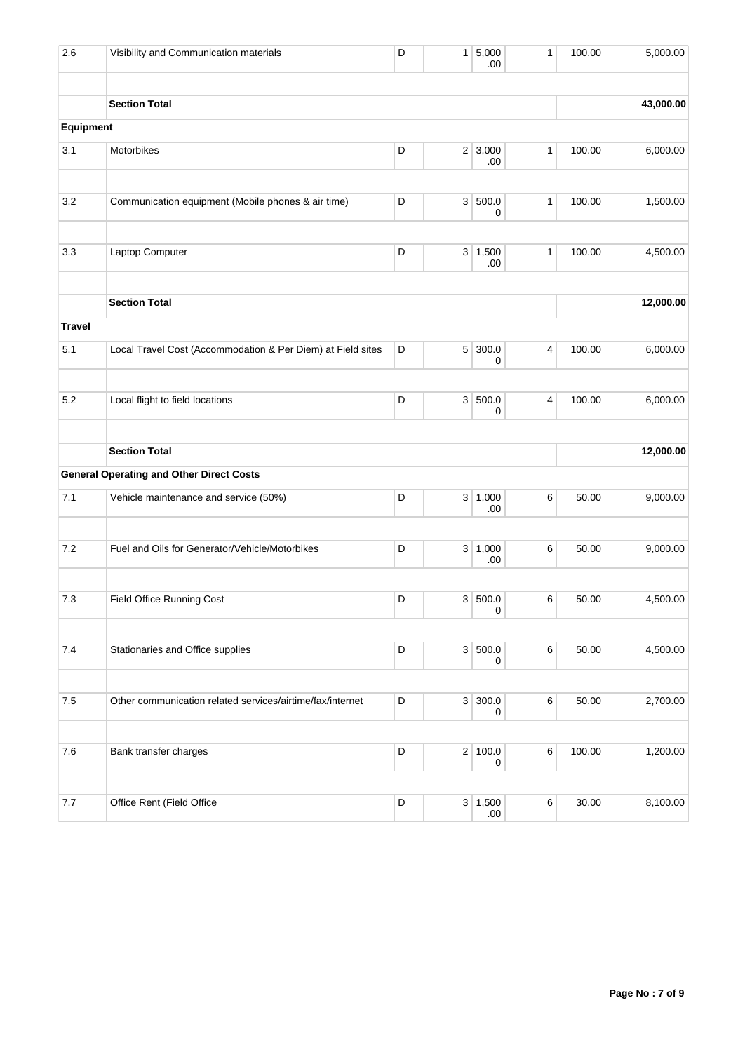| 2.6           | Visibility and Communication materials                      | D           |                | 1 5,000<br>.00       | $\mathbf{1}$ | 100.00   | 5,000.00  |
|---------------|-------------------------------------------------------------|-------------|----------------|----------------------|--------------|----------|-----------|
|               | <b>Section Total</b>                                        |             |                |                      |              |          | 43,000.00 |
| Equipment     |                                                             |             |                |                      |              |          |           |
| 3.1           | Motorbikes                                                  |             | 2 3,000<br>.00 | $\mathbf{1}$         | 100.00       | 6,000.00 |           |
| 3.2           | Communication equipment (Mobile phones & air time)          | D           | 3 <sup>2</sup> | 500.0<br>0           | $\mathbf{1}$ | 100.00   | 1,500.00  |
| 3.3           | Laptop Computer                                             | D           |                | 3   1,500<br>.00     | 1            | 100.00   | 4,500.00  |
|               | <b>Section Total</b>                                        |             |                |                      |              |          | 12,000.00 |
| <b>Travel</b> |                                                             |             |                |                      |              |          |           |
| 5.1           | Local Travel Cost (Accommodation & Per Diem) at Field sites | D           |                | $5 \vert 300.0$<br>0 | 4            | 100.00   | 6,000.00  |
| 5.2           | Local flight to field locations                             | D           |                | 3 500.0<br>0         | 4            | 100.00   | 6,000.00  |
|               | <b>Section Total</b>                                        |             |                |                      |              |          | 12,000.00 |
|               | <b>General Operating and Other Direct Costs</b>             |             |                |                      |              |          |           |
| 7.1           | Vehicle maintenance and service (50%)                       | D           |                | 3   1,000<br>.00     | 6            | 50.00    | 9,000.00  |
| 7.2           | Fuel and Oils for Generator/Vehicle/Motorbikes              | D           | 3 <sup>2</sup> | 1,000<br>.00         | 6            | 50.00    | 9,000.00  |
| 7.3           | Field Office Running Cost                                   | D           |                | 3 500.0<br>0         | 6            | 50.00    | 4,500.00  |
| $7.4$         | Stationaries and Office supplies                            | D           |                | 3 500.0<br>0         | 6            | 50.00    | 4,500.00  |
| $7.5$         | Other communication related services/airtime/fax/internet   | D           |                | 3 300.0<br>0         | 6            | 50.00    | 2,700.00  |
| $7.6\,$       | Bank transfer charges                                       | D           |                | 2 100.0<br>0         | 6            | 100.00   | 1,200.00  |
| $7.7$         | Office Rent (Field Office                                   | $\mathsf D$ |                | 3   1,500<br>.00.    | $\,6\,$      | 30.00    | 8,100.00  |